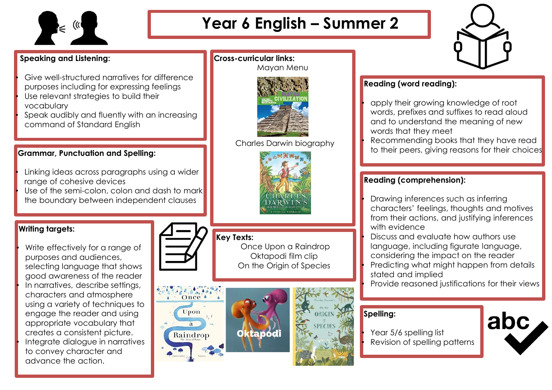

# **Year 6 English – Summer 2**

Mayan Menu

Charles Darwin biography

**Cross-curricular links:**

### **Speaking and Listening:**

- Give well-structured narratives for difference purposes including for expressing feelings
- Use relevant strategies to build their vocabulary
- Speak audibly and fluently with an increasing command of Standard English

#### **Grammar, Punctuation and Spelling:**

- Linking ideas across paragraphs using a wider range of cohesive devices
- Use of the semi-colon, colon and dash to mark the boundary between independent clauses

## **Writing targets:**

Write effectively for a range of purposes and audiences, selecting language that shows good awareness of the reader In narratives, describe settings, characters and atmosphere using a variety of techniques to engage the reader and using appropriate vocabulary that creates a consistent picture. • Integrate dialogue in narratives to convey character and advance the action.



## **Key Texts:**

Once Upon a Raindrop Oktapodi film clip On the Origin of Species







## **Reading (word reading):**

• apply their growing knowledge of root words, prefixes and suffixes to read aloud and to understand the meaning of new words that they meet • Recommending books that they have read to their peers, giving reasons for their choices

### **Reading (comprehension):**

• Drawing inferences such as inferring characters' feelings, thoughts and motives from their actions, and justifying inferences with evidence

• Discuss and evaluate how authors use language, including figurate language, considering the impact on the reader • Predicting what might happen from details stated and implied

• Provide reasoned justifications for their views

## **Spelling:**

Year 5/6 spelling list • Revision of spelling patterns